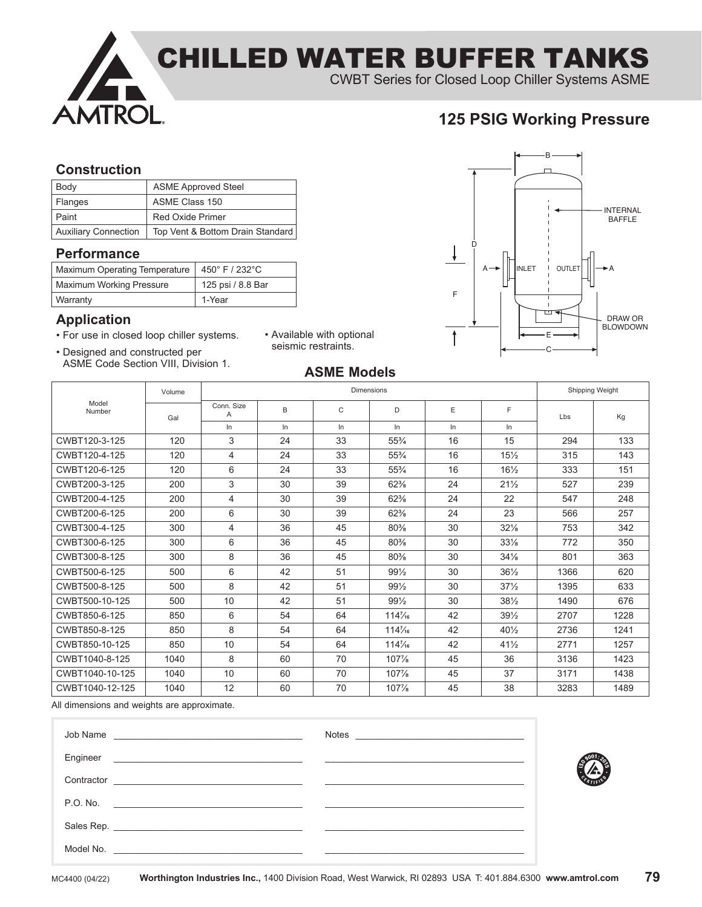

#### **Construction**

| Body                        | <b>ASME Approved Steel</b>       |
|-----------------------------|----------------------------------|
| Flanges                     | ASME Class 150                   |
| Paint                       | <b>Red Oxide Primer</b>          |
| <b>Auxiliary Connection</b> | Top Vent & Bottom Drain Standard |

### **Performance**

| Maximum Operating Temperature   450° F / 232°C |                   |
|------------------------------------------------|-------------------|
| <b>Maximum Working Pressure</b>                | 125 psi / 8.8 Bar |
| Warranty                                       | 1-Year            |

### **Application**

- For use in closed loop chiller systems.
- Designed and constructed per ASME Code Section VIII, Division 1.
- Available with optional seismic restraints.



## **ASME Models**

|                 | Volume | <b>Dimensions</b> |    |    |                   |       | Shipping Weight |      |      |
|-----------------|--------|-------------------|----|----|-------------------|-------|-----------------|------|------|
| Model<br>Number | Gal    | Conn. Size<br>Α   | B  | C  | D                 | E     | F               | Lbs  | Kg   |
|                 |        | ln                | In | ln | In.               | $\ln$ | In.             |      |      |
| CWBT120-3-125   | 120    | 3                 | 24 | 33 | $55\frac{3}{4}$   | 16    | 15              | 294  | 133  |
| CWBT120-4-125   | 120    | $\overline{4}$    | 24 | 33 | $55\frac{3}{4}$   | 16    | $15\frac{1}{2}$ | 315  | 143  |
| CWBT120-6-125   | 120    | 6                 | 24 | 33 | $55\frac{3}{4}$   | 16    | $16\frac{1}{2}$ | 333  | 151  |
| CWBT200-3-125   | 200    | 3                 | 30 | 39 | 62%               | 24    | $21\frac{1}{2}$ | 527  | 239  |
| CWBT200-4-125   | 200    | $\overline{4}$    | 30 | 39 | 62%               | 24    | 22              | 547  | 248  |
| CWBT200-6-125   | 200    | 6                 | 30 | 39 | 62%               | 24    | 23              | 566  | 257  |
| CWBT300-4-125   | 300    | $\overline{4}$    | 36 | 45 | 80%               | 30    | 32%             | 753  | 342  |
| CWBT300-6-125   | 300    | 6                 | 36 | 45 | 80%               | 30    | $33\frac{1}{8}$ | 772  | 350  |
| CWBT300-8-125   | 300    | 8                 | 36 | 45 | 80%               | 30    | $34\frac{1}{8}$ | 801  | 363  |
| CWBT500-6-125   | 500    | 6                 | 42 | 51 | $99\frac{1}{2}$   | 30    | $36\frac{1}{2}$ | 1366 | 620  |
| CWBT500-8-125   | 500    | 8                 | 42 | 51 | $99\frac{1}{2}$   | 30    | $37\frac{1}{2}$ | 1395 | 633  |
| CWBT500-10-125  | 500    | 10                | 42 | 51 | 991/2             | 30    | $38\frac{1}{2}$ | 1490 | 676  |
| CWBT850-6-125   | 850    | 6                 | 54 | 64 | $114\frac{7}{16}$ | 42    | $39\frac{1}{2}$ | 2707 | 1228 |
| CWBT850-8-125   | 850    | 8                 | 54 | 64 | $114\frac{7}{16}$ | 42    | $40\frac{1}{2}$ | 2736 | 1241 |
| CWBT850-10-125  | 850    | 10                | 54 | 64 | $114\frac{7}{16}$ | 42    | $41\frac{1}{2}$ | 2771 | 1257 |
| CWBT1040-8-125  | 1040   | 8                 | 60 | 70 | 107%              | 45    | 36              | 3136 | 1423 |
| CWBT1040-10-125 | 1040   | 10                | 60 | 70 | 107%              | 45    | 37              | 3171 | 1438 |
| CWBT1040-12-125 | 1040   | 12                | 60 | 70 | 107%              | 45    | 38              | 3283 | 1489 |

All dimensions and weights are approximate.

| Job Name                                                                                                                            | Notes |  |
|-------------------------------------------------------------------------------------------------------------------------------------|-------|--|
| Engineer                                                                                                                            |       |  |
| Contractor<br><u> 1989 - Johann Harry Harry Harry Harry Harry Harry Harry Harry Harry Harry Harry Harry Harry Harry Harry Harry</u> |       |  |
| P.O. No.<br><u> 2000 - Jan Barry Stein, Amerikaansk politiker (* 1900)</u>                                                          |       |  |
|                                                                                                                                     |       |  |
| Model No.                                                                                                                           |       |  |